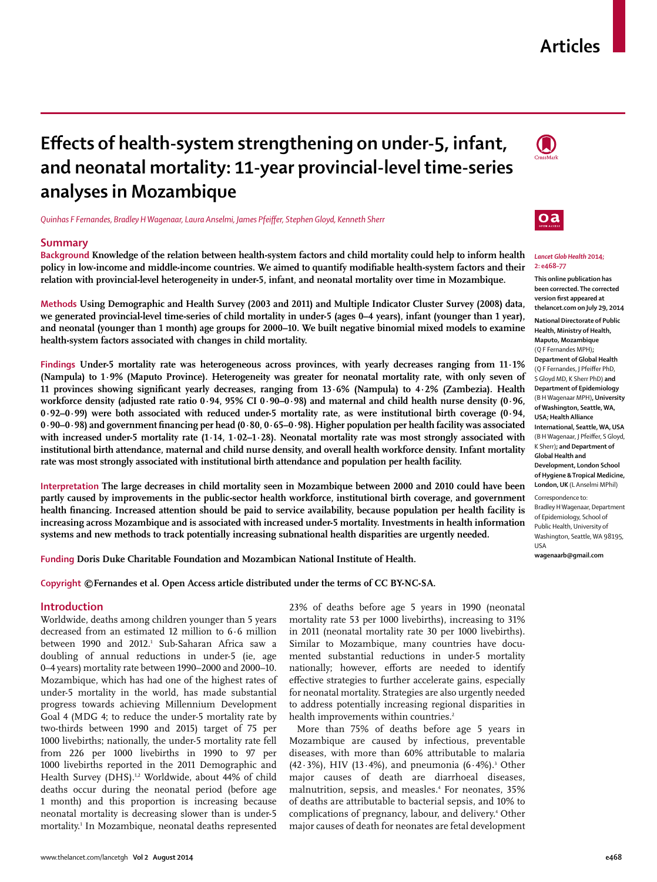# **Articles**

# Effects of health-system strengthening on under-5, infant, **and neonatal mortality: 11-year provincial-level time-series analyses in Mozambique**

*Quinhas F Fernandes, Bradley H Wagenaar, Laura Anselmi, James Pfeiff er, Stephen Gloyd, Kenneth Sherr*

### **Summary**

**Background Knowledge of the relation between health-system factors and child mortality could help to inform health**  policy in low-income and middle-income countries. We aimed to quantify modifiable health-system factors and their **relation with provincial-level heterogeneity in under-5, infant, and neonatal mortality over time in Mozambique.**

**Methods Using Demographic and Health Survey (2003 and 2011) and Multiple Indicator Cluster Survey (2008) data,**  we generated provincial-level time-series of child mortality in under-5 (ages 0–4 years), infant (younger than 1 year), **and neonatal (younger than 1 month) age groups for 2000–10. We built negative binomial mixed models to examine health-system factors associated with changes in child mortality.**

**Findings Under-5 mortality rate was heterogeneous across provinces, with yearly decreases ranging from 11·1% (Nampula) to 1·9% (Maputo Province). Heterogeneity was greater for neonatal mortality rate, with only seven of**  11 provinces showing significant yearly decreases, ranging from 13*·6%* (Nampula) to 4*·2%* (Zambezia). Health **workforce density (adjusted rate ratio 0·94, 95% CI 0∙90–0∙98) and maternal and child health nurse density (0∙96, 0∙92–0∙99) were both associated with reduced under-5 mortality rate, as were institutional birth coverage (0∙94, 0∙90–0∙98) and government fi nancing per head (0∙80, 0∙65–0∙98). Higher population per health facility was associated with increased under-5 mortality rate (1∙14, 1∙02–1∙28). Neonatal mortality rate was most strongly associated with institutional birth attendance, maternal and child nurse density, and overall health workforce density. Infant mortality rate was most strongly associated with institutional birth attendance and population per health facility.**

**Interpretation The large decreases in child mortality seen in Mozambique between 2000 and 2010 could have been partly caused by improvements in the public-sector health workforce, institutional birth coverage, and government**  health financing. Increased attention should be paid to service availability, because population per health facility is **increasing across Mozambique and is associated with increased under-5 mortality. Investments in health information systems and new methods to track potentially increasing subnational health disparities are urgently needed.**

**Funding Doris Duke Charitable Foundation and Mozambican National Institute of Health.**

**Copyright ©Fernandes et al. Open Access article distributed under the terms of CC BY-NC-SA.**

#### **Introduction**

Worldwide, deaths among children younger than 5 years decreased from an estimated 12 million to 6·6 million between 1990 and 2012.<sup>1</sup> Sub-Saharan Africa saw a doubling of annual reductions in under-5 (ie, age 0–4 years) mortality rate between 1990–2000 and 2000–10. Mozambique, which has had one of the highest rates of under-5 mortality in the world, has made substantial progress towards achieving Millennium Development Goal 4 (MDG 4; to reduce the under-5 mortality rate by two-thirds between 1990 and 2015) target of 75 per 1000 livebirths; nationally, the under-5 mortality rate fell from 226 per 1000 livebirths in 1990 to 97 per 1000 livebirths reported in the 2011 Demographic and Health Survey (DHS).<sup>1,2</sup> Worldwide, about 44% of child deaths occur during the neonatal period (before age 1 month) and this proportion is increasing because neonatal mortality is decreasing slower than is under-5 mortality.1 In Mozambique, neonatal deaths represented 23% of deaths before age 5 years in 1990 (neonatal mortality rate 53 per 1000 livebirths), increasing to 31% in 2011 (neonatal mortality rate 30 per 1000 livebirths). Similar to Mozambique, many countries have documented substantial reductions in under-5 mortality nationally; however, efforts are needed to identify effective strategies to further accelerate gains, especially for neonatal mortality. Strategies are also urgently needed to address potentially increasing regional disparities in health improvements within countries.<sup>2</sup>

More than 75% of deaths before age 5 years in Mozambique are caused by infectious, preventable diseases, with more than 60% attributable to malaria (42⋅3%), HIV (13⋅4%), and pneumonia (6⋅4%).<sup>3</sup> Other major causes of death are diarrhoeal diseases, malnutrition, sepsis, and measles.4 For neonates, 35% of deaths are attributable to bacterial sepsis, and 10% to complications of pregnancy, labour, and delivery.<sup>4</sup> Other major causes of death for neonates are fetal development





### *Lancet Glob Health* **2014; 2: e468–77**

**This online publication has been corrected. The corrected version first appeared at thelancet.com on July 29, 2014**

**National Directorate of Public Health, Ministry of Health, Maputo, Mozambique**  (Q F Fernandes MPH)**; Department of Global Health**  (Q F Fernandes, J Pfeiffer PhD, S Gloyd MD, K Sherr PhD) **and Department of Epidemiology**  (B H Wagenaar MPH)**, University of Washington, Seattle, WA, USA; Health Alliance International, Seattle, WA, USA** (B H Wagenaar, J Pfeiffer, S Gloyd, K Sherr)**; and Department of Global Health and Development, London School of Hygiene & Tropical Medicine, London, UK** (L Anselmi MPhil) Correspondence to: Bradley H Wagenaar, Department of Epidemiology, School of Public Health, University of Washington, Seattle, WA 98195, USA **wagenaarb@gmail.com**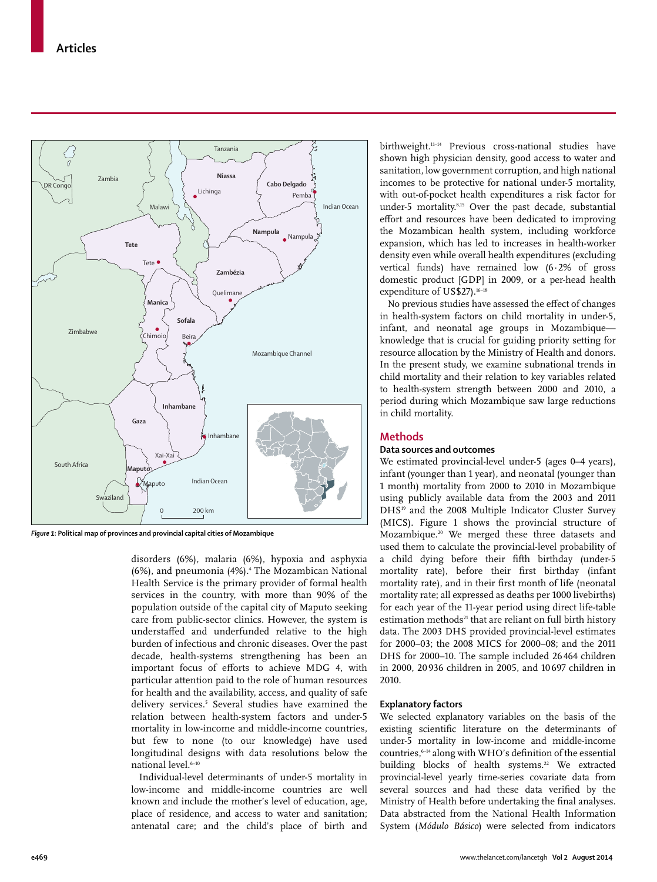

*Figure 1:* **Political map of provinces and provincial capital cities of Mozambique**

disorders (6%), malaria (6%), hypoxia and asphyxia (6%), and pneumonia (4%).4 The Mozambican National Health Service is the primary provider of formal health services in the country, with more than 90% of the population outside of the capital city of Maputo seeking care from public-sector clinics. However, the system is understaffed and underfunded relative to the high burden of infectious and chronic diseases. Over the past decade, health-systems strengthening has been an important focus of efforts to achieve MDG 4, with particular attention paid to the role of human resources for health and the availability, access, and quality of safe delivery services.<sup>5</sup> Several studies have examined the relation between health-system factors and under-5 mortality in low-income and middle-income countries, but few to none (to our knowledge) have used longitudinal designs with data resolutions below the national level.<sup>6-10</sup>

Individual-level determinants of under-5 mortality in low-income and middle-income countries are well known and include the mother's level of education, age, place of residence, and access to water and sanitation; antenatal care; and the child's place of birth and birthweight.11–14 Previous cross-national studies have shown high physician density, good access to water and sanitation, low government corruption, and high national incomes to be protective for national under-5 mortality, with out-of-pocket health expenditures a risk factor for under-5 mortality.8,15 Over the past decade, substantial effort and resources have been dedicated to improving the Mozambican health system, including workforce expansion, which has led to increases in health-worker density even while overall health expenditures (excluding vertical funds) have remained low (6∙2% of gross domestic product [GDP] in 2009, or a per-head health expenditure of US\$27).<sup>16-18</sup>

No previous studies have assessed the effect of changes in health-system factors on child mortality in under-5, infant, and neonatal age groups in Mozambique knowledge that is crucial for guiding priority setting for resource allocation by the Ministry of Health and donors. In the present study, we examine subnational trends in child mortality and their relation to key variables related to health-system strength between 2000 and 2010, a period during which Mozambique saw large reductions in child mortality.

## **Methods**

### **Data sources and outcomes**

We estimated provincial-level under-5 (ages 0–4 years), infant (younger than 1 year), and neonatal (younger than 1 month) mortality from 2000 to 2010 in Mozambique using publicly available data from the 2003 and 2011 DHS19 and the 2008 Multiple Indicator Cluster Survey (MICS). Figure 1 shows the provincial structure of Mozambique.20 We merged these three datasets and used them to calculate the provincial-level probability of a child dying before their fifth birthday (under-5 mortality rate), before their first birthday (infant mortality rate), and in their first month of life (neonatal mortality rate; all expressed as deaths per 1000 livebirths) for each year of the 11-year period using direct life-table estimation methods<sup>21</sup> that are reliant on full birth history data. The 2003 DHS provided provincial-level estimates for 2000–03; the 2008 MICS for 2000–08; and the 2011 DHS for 2000–10. The sample included 26 464 children in 2000, 20 936 children in 2005, and 10 697 children in 2010.

## **Explanatory factors**

We selected explanatory variables on the basis of the existing scientific literature on the determinants of under-5 mortality in low-income and middle-income countries, $6-14$  along with WHO's definition of the essential building blocks of health systems.<sup>22</sup> We extracted provincial-level yearly time-series covariate data from several sources and had these data verified by the Ministry of Health before undertaking the final analyses. Data abstracted from the National Health Information System (*Módulo Básico*) were selected from indicators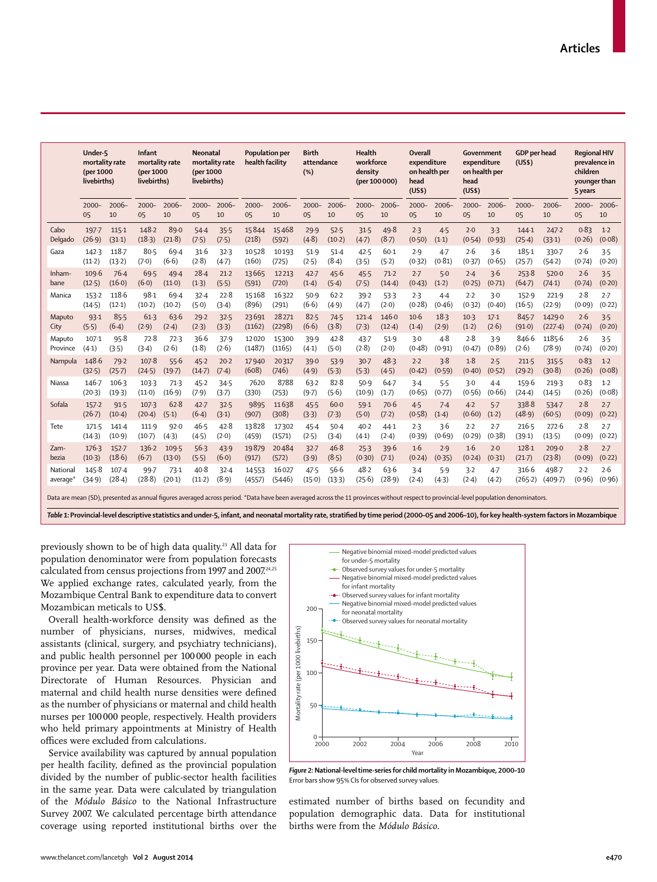|                      | Under-5<br>mortality rate<br>(per 1000<br>livebirths) |           | Infant<br>mortality rate<br>(per 1000<br>livebirths) |          | <b>Neonatal</b><br>mortality rate<br>(per 1000<br>livebirths) |          | Population per<br>health facility |          | <b>Birth</b><br>(%) | attendance |          | Health<br>workforce<br>density<br>(per 100 000) |          | <b>Overall</b><br>expenditure<br>on health per<br>head<br>(US\$) |          | Government<br>expenditure<br>on health per<br>head<br>(US\$) |           | <b>GDP</b> per head<br>(US\$) |          | <b>Regional HIV</b><br>prevalence in<br>children<br>younger than<br>5 years |  |
|----------------------|-------------------------------------------------------|-----------|------------------------------------------------------|----------|---------------------------------------------------------------|----------|-----------------------------------|----------|---------------------|------------|----------|-------------------------------------------------|----------|------------------------------------------------------------------|----------|--------------------------------------------------------------|-----------|-------------------------------|----------|-----------------------------------------------------------------------------|--|
|                      | $2000 -$                                              | $2006 -$  | $2000 -$                                             | $2006 -$ | $2000 -$                                                      | $2006 -$ | $2000 -$                          | $2006 -$ | $2000 -$            | $2006 -$   | $2000 -$ | $2006 -$                                        | $2000 -$ | $2006 -$                                                         | $2000 -$ | $2006 -$                                                     | $2000 -$  | 2006-                         | $2000 -$ | $2006 -$                                                                    |  |
|                      | 05                                                    | 10        | 05                                                   | 10       | 05                                                            | 10       | 05                                | 10       | 05                  | 10         | 05       | 10                                              | 05       | 10                                                               | 05       | $10\,$                                                       | 05        | 10                            | 05       | 10                                                                          |  |
| Cabo                 | $197 - 7$                                             | $115-1$   | 148.2                                                | 89.0     | 54.4                                                          | 35.5     | 15844                             | 15468    | 29.9                | 52.5       | 31.5     | 49.8                                            | 2.3      | 4.5                                                              | 2.0      | 3.3                                                          | $144 - 1$ | 247.2                         | 0.83     | $1-2$                                                                       |  |
| Delgado              | (26.9)                                                | (31.1)    | (18.3)                                               | (21.8)   | (7.5)                                                         | (7.5)    | (218)                             | (592)    | (4.8)               | (10.2)     | $(4-7)$  | $(8-7)$                                         | (0.50)   | (1.1)                                                            | (0.54)   | (0.93)                                                       | (25.4)    | (33.1)                        | (0.26)   | (0.08)                                                                      |  |
| Gaza                 | 142.3                                                 | 118.7     | $80 - 5$                                             | 69.4     | 31.6                                                          | 32.3     | 10528                             | 10193    | 51.9                | $51-4$     | 42.5     | $60-1$                                          | 2.9      | $4-7$                                                            | 2.6      | 3.6                                                          | $185 - 1$ | 330.7                         | 2.6      | 3.5                                                                         |  |
|                      | $(11-2)$                                              | (13.2)    | (7.0)                                                | (6.6)    | (2.8)                                                         | (4.7)    | (160)                             | (725)    | (2.5)               | (8.4)      | (3.5)    | (5.2)                                           | (0.32)   | (0.81)                                                           | (0.37)   | (0.65)                                                       | (25.7)    | (54.2)                        | (0.74)   | (0.20)                                                                      |  |
| Inham-               | 109.6                                                 | $76-4$    | 69.5                                                 | 49.4     | 28.4                                                          | $21-2$   | 13665                             | 12213    | $42 - 7$            | 45.6       | 45.5     | 71.2                                            | 2.7      | $5-0$                                                            | 2.4      | 3.6                                                          | 253.8     | 520.0                         | 2.6      | 3.5                                                                         |  |
| bane                 | (12.5)                                                | (16.0)    | (6.0)                                                | (11.0)   | $(1-3)$                                                       | (5.5)    | (591)                             | (720)    | (1.4)               | (5.4)      | (7.5)    | (14.4)                                          | (0.43)   | $(1-2)$                                                          | (0.25)   | (0.71)                                                       | (64.7)    | (74.1)                        | (0.74)   | (0.20)                                                                      |  |
| Manica               | 153.2                                                 | 118.6     | 98.1                                                 | 69.4     | $32 - 4$                                                      | 22.8     | 15168                             | 16322    | 50.9                | 62.2       | 39.2     | 53.3                                            | 2.3      | $4-4$                                                            | 2.2      | 3.0                                                          | 152.9     | 221.9                         | 2.8      | 2.7                                                                         |  |
|                      | (14.5)                                                | (12.1)    | (10.2)                                               | $(10-2)$ | (5.0)                                                         | (3.4)    | (896)                             | (291)    | (6.6)               | (4.9)      | $(4-7)$  | (2.0)                                           | (0.28)   | (0.46)                                                           | (0.32)   | (0.40)                                                       | (16.5)    | (22.9)                        | (0.09)   | (0.22)                                                                      |  |
| Maputo               | 93.1                                                  | 85.5      | 61.3                                                 | 63.6     | 29.2                                                          | 32.5     | 23691                             | 28271    | 82.5                | 74.5       | $121-4$  | 146.0                                           | $10-6$   | 18.3                                                             | $10-3$   | $17-1$                                                       | $845 - 7$ | 1429.0                        | 2.6      | 3.5                                                                         |  |
| City                 | (5.5)                                                 | (6.4)     | (2.9)                                                | (2.4)    | $(2-3)$                                                       | (3.3)    | (1162)                            | (2298)   | (6.6)               | (3.8)      | (7.3)    | $(12-4)$                                        | (1.4)    | (2.9)                                                            | $(1-2)$  | (2.6)                                                        | (91.0)    | (227.4)                       | (0.74)   | (0.20)                                                                      |  |
| Maputo               | 107.1                                                 | 95.8      | 72.8                                                 | 72.3     | 36.6                                                          | 37.9     | 12020                             | 15300    | 39.9                | 42.8       | $43 - 7$ | 51.9                                            | $3-0$    | $4 - 8$                                                          | 2.8      | 3.9                                                          | 846.6     | 1185.6                        | 2.6      | 3.5                                                                         |  |
| Province             | (4.1)                                                 | (3.5)     | (3.4)                                                | (2.6)    | (1.8)                                                         | (2.6)    | (1487)                            | (1165)   | $(4-1)$             | (5.0)      | (2.8)    | (2.0)                                           | (0.48)   | (0.91)                                                           | (0.47)   | (0.89)                                                       | (2.6)     | (78.9)                        | (0.74)   | (0.20)                                                                      |  |
| Nampula              | 148.6                                                 | 79.2      | 107.8                                                | 55.6     | 45.2                                                          | $20 - 2$ | 17940                             | 20317    | 39.0                | 53.9       | $30-7$   | 48.3                                            | 2.2      | 3.8                                                              | 1.8      | 2.5                                                          | 211.5     | 315.5                         | 0.83     | $1-2$                                                                       |  |
|                      | (32.5)                                                | (25.7)    | (24.5)                                               | (19.7)   | $(14-7)$                                                      | (7.4)    | (608)                             | (746)    | (4.9)               | (5.3)      | (5.3)    | (4.5)                                           | (0.42)   | (0.59)                                                           | (0.40)   | (0.52)                                                       | (29.2)    | (30.8)                        | (0.26)   | (0.08)                                                                      |  |
| Niassa               | 146.7                                                 | $106-3$   | 103.3                                                | 71.3     | 45.2                                                          | 34.5     | 7620                              | 8788     | 63.2                | 82.8       | 50.9     | $64 - 7$                                        | 3.4      | 5.5                                                              | 3.0      | $4-4$                                                        | 159.6     | 219.3                         | 0.83     | $1-2$                                                                       |  |
|                      | (20.3)                                                | (19.3)    | (11.0)                                               | (16.9)   | (7.9)                                                         | (3.7)    | (330)                             | (253)    | (9.7)               | (5.6)      | (10.9)   | $(1-7)$                                         | (0.65)   | (0.77)                                                           | (0.56)   | (0.66)                                                       | (24.4)    | (14.5)                        | (0.26)   | (0.08)                                                                      |  |
| Sofala               | 157.2                                                 | 91.5      | 107.3                                                | 62.8     | $42 - 7$                                                      | 32.5     | 9895                              | 11638    | 45.5                | 60.0       | 59.1     | $70-6$                                          | 4.5      | 7.4                                                              | $4-2$    | 5.7                                                          | 338.8     | 534.7                         | 2.8      | 2.7                                                                         |  |
|                      | (26.7)                                                | $(10-4)$  | $(20-4)$                                             | (5.1)    | (6.4)                                                         | (3.1)    | (907)                             | (308)    | (3.3)               | (7.3)      | (5.0)    | (7.2)                                           | (0.58)   | (1.4)                                                            | (0.60)   | $(1-2)$                                                      | (48.9)    | (60.5)                        | (0.09)   | (0.22)                                                                      |  |
| Tete                 | 171.5                                                 | 141.4     | 111.9                                                | 92.0     | 46.5                                                          | 42.8     | 13828                             | 17302    | 45.4                | $50-4$     | $40-2$   | 44.1                                            | 2.3      | 3.6                                                              | 2.2      | 2.7                                                          | 216.5     | 272.6                         | 2.8      | 2.7                                                                         |  |
|                      | (14.3)                                                | (10.9)    | $(10-7)$                                             | $(4-3)$  | (4.5)                                                         | (2.0)    | (459)                             | (1571)   | (2.5)               | (3.4)      | $(4-1)$  | (2.4)                                           | (0.39)   | (0.69)                                                           | (0.29)   | (0.38)                                                       | (39.1)    | (13.5)                        | (0.09)   | (0.22)                                                                      |  |
| Zam-                 | 176.3                                                 | $152 - 7$ | 136.2                                                | 109.5    | 56.3                                                          | 43.9     | 19879                             | 20484    | $32 - 7$            | 46.8       | 25.3     | 39.6                                            | 1·6      | 2.9                                                              | 1·6      | 2.0                                                          | 128.1     | 209.0                         | 2.8      | 2.7                                                                         |  |
| bezia                | $(10-3)$                                              | (18.6)    | $(6-7)$                                              | (13.0)   | (5.5)                                                         | (6.0)    | (917)                             | (572)    | (3.9)               | (8.5)      | (0.30)   | (7.1)                                           | (0.24)   | (0.35)                                                           | (0.24)   | (0.31)                                                       | $(21-7)$  | (23.8)                        | (0.09)   | (0.22)                                                                      |  |
| National             | 145.8                                                 | $107-4$   | 99.7                                                 | 73.1     | $40 - 8$                                                      | $32 - 4$ | 14553                             | 16027    | 47.5                | 56.6       | 48.2     | 63.6                                            | 3.4      | 5.9                                                              | 3.2      | $4 - 7$                                                      | 316.6     | 498.7                         | 2.2      | 2.6                                                                         |  |
| average <sup>*</sup> | (34.9)                                                | (28.4)    | (28.8)                                               | (20.1)   | $(11-2)$                                                      | (8.9)    | (4557)                            | (5446)   | (15.0)              | (13.3)     | (25.6)   | (28.9)                                          | (2.4)    | $(4-3)$                                                          | (2.4)    | (4.2)                                                        | (265.2)   | (409.7)                       | (0.96)   | (0.96)                                                                      |  |

Table 1: Provincial-level descriptive statistics and under-5, infant, and neonatal mortality rate, stratified by time period (2000-05 and 2006-10), for key health-system factors in Mozambique

previously shown to be of high data quality.<sup>23</sup> All data for population denominator were from population forecasts calculated from census projections from 1997 and 2007.<sup>24,25</sup> We applied exchange rates, calculated yearly, from the Mozambique Central Bank to expenditure data to convert Mozambican meticals to US\$.

Overall health-workforce density was defined as the number of physicians, nurses, midwives, medical assistants (clinical, surgery, and psychiatry technicians), and public health personnel per 100 000 people in each province per year. Data were obtained from the National Directorate of Human Resources. Physician and maternal and child health nurse densities were defined as the number of physicians or maternal and child health nurses per 100 000 people, respectively. Health providers who held primary appointments at Ministry of Health offices were excluded from calculations.

Service availability was captured by annual population per health facility, defined as the provincial population divided by the number of public-sector health facilities in the same year. Data were calculated by triangulation of the *Módulo Básico* to the National Infrastructure Survey 2007. We calculated percentage birth attendance coverage using reported institutional births over the



*Figure 2:* **National-level time-series for child mortality in Mozambique, 2000–10** Error bars show 95% CIs for observed survey values.

estimated number of births based on fecundity and population demographic data. Data for institutional births were from the *Módulo Básico*.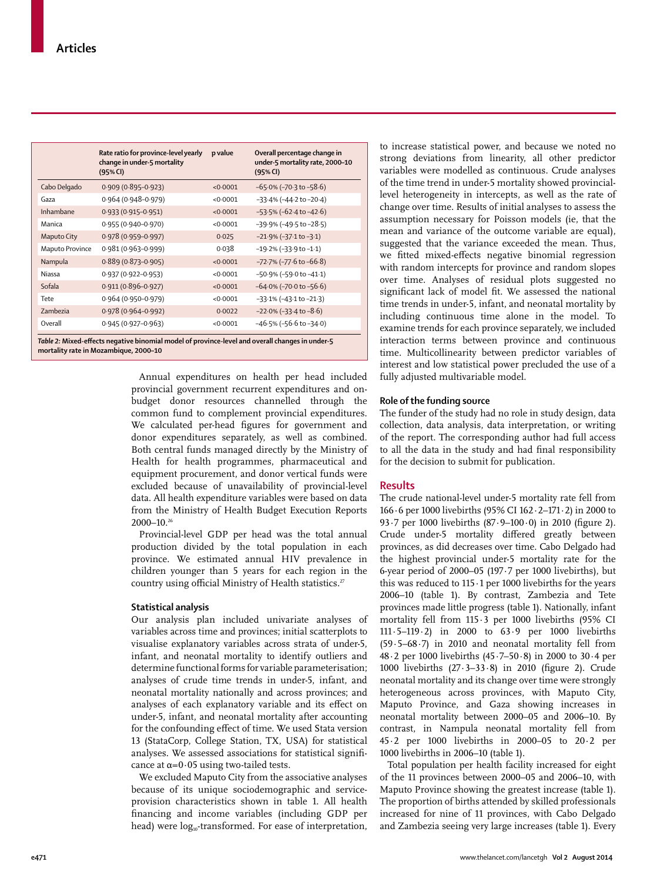|                                                                                                 | Rate ratio for province-level yearly<br>change in under-5 mortality<br>(95% CI) | p value  | Overall percentage change in<br>under-5 mortality rate, 2000-10<br>(95% CI) |  |  |  |  |  |
|-------------------------------------------------------------------------------------------------|---------------------------------------------------------------------------------|----------|-----------------------------------------------------------------------------|--|--|--|--|--|
| Cabo Delgado                                                                                    | $0.909(0.895 - 0.923)$                                                          | < 0.0001 | $-65.0\%$ (-70.3 to -58.6)                                                  |  |  |  |  |  |
| Gaza                                                                                            | $0.964(0.948 - 0.979)$                                                          | < 0.0001 | -33.4% (-44.2 to -20.4)                                                     |  |  |  |  |  |
| Inhambane                                                                                       | 0.933 (0.915-0.951)                                                             | < 0.0001 | $-53.5\%$ (-62.4 to -42.6)                                                  |  |  |  |  |  |
| Manica                                                                                          | 0.955 (0.940-0.970)                                                             | < 0.0001 | -39.9% (-49.5 to -28.5)                                                     |  |  |  |  |  |
| Maputo City                                                                                     | 0.978 (0.959-0.997)                                                             | 0.025    | $-21.9\% (-37.1$ to $-3.1)$                                                 |  |  |  |  |  |
| Maputo Province                                                                                 | 0.981 (0.963-0.999)                                                             | 0.038    | $-19.2\%$ (-33.9 to $-1.1$ )                                                |  |  |  |  |  |
| Nampula                                                                                         | $0.889(0.873 - 0.905)$                                                          | < 0.0001 | $-72.7\%$ ( $-77.6$ to $-66.8$ )                                            |  |  |  |  |  |
| <b>Niassa</b>                                                                                   | 0.937 (0.922-0.953)                                                             | < 0.0001 | -50.9% (-59.0 to -41.1)                                                     |  |  |  |  |  |
| Sofala                                                                                          | 0.911 (0.896-0.927)                                                             | < 0.0001 | $-64.0\%$ (-70.0 to -56.6)                                                  |  |  |  |  |  |
| Tete                                                                                            | 0.964 (0.950-0.979)                                                             | < 0.0001 | $-33.1\%$ (-43.1 to $-21.3$ )                                               |  |  |  |  |  |
| Zambezia                                                                                        | 0.978 (0.964-0.992)                                                             | 0.0022   | $-22.0\% (-33.4$ to $-8.6)$                                                 |  |  |  |  |  |
| Overall                                                                                         | 0.945 (0.927-0.963)                                                             | < 0.0001 | $-46.5\%$ (-56.6 to -34.0)                                                  |  |  |  |  |  |
| Table 2: Mixed-effects negative binomial model of province-level and overall changes in under-5 |                                                                                 |          |                                                                             |  |  |  |  |  |

**mortality rate in Mozambique, 2000–10**

Annual expenditures on health per head included provincial government recurrent expenditures and onbudget donor resources channelled through the common fund to complement provincial expenditures. We calculated per-head figures for government and donor expenditures separately, as well as combined. Both central funds managed directly by the Ministry of Health for health programmes, pharmaceutical and equipment procurement, and donor vertical funds were excluded because of unavailability of provincial-level data. All health expenditure variables were based on data from the Ministry of Health Budget Execution Reports 2000–10.26

Provincial-level GDP per head was the total annual production divided by the total population in each province. We estimated annual HIV prevalence in children younger than 5 years for each region in the country using official Ministry of Health statistics.<sup>27</sup>

# **Statistical analysis**

Our analysis plan included univariate analyses of variables across time and provinces; initial scatterplots to visualise explanatory variables across strata of under-5, infant, and neonatal mortality to identify outliers and determine functional forms for variable parameterisation; analyses of crude time trends in under-5, infant, and neonatal mortality nationally and across provinces; and analyses of each explanatory variable and its effect on under-5, infant, and neonatal mortality after accounting for the confounding effect of time. We used Stata version 13 (StataCorp, College Station, TX, USA) for statistical analyses. We assessed associations for statistical significance at α=0∙05 using two-tailed tests.

We excluded Maputo City from the associative analyses because of its unique sociodemographic and serviceprovision characteristics shown in table 1. All health financing and income variables (including GDP per head) were  $log_{10}$ -transformed. For ease of interpretation,

to increase statistical power, and because we noted no strong deviations from linearity, all other predictor variables were modelled as continuous. Crude analyses of the time trend in under-5 mortality showed provinciallevel heterogeneity in intercepts, as well as the rate of change over time. Results of initial analyses to assess the assumption necessary for Poisson models (ie, that the mean and variance of the outcome variable are equal), suggested that the variance exceeded the mean. Thus, we fitted mixed-effects negative binomial regression with random intercepts for province and random slopes over time. Analyses of residual plots suggested no significant lack of model fit. We assessed the national time trends in under-5, infant, and neonatal mortality by including continuous time alone in the model. To examine trends for each province separately, we included interaction terms between province and continuous time. Multicollinearity between predictor variables of interest and low statistical power precluded the use of a fully adjusted multivariable model.

## **Role of the funding source**

The funder of the study had no role in study design, data collection, data analysis, data interpretation, or writing of the report. The corresponding author had full access to all the data in the study and had final responsibility for the decision to submit for publication.

# **Results**

The crude national-level under-5 mortality rate fell from 166∙6 per 1000 livebirths (95% CI 162∙2–171∙2) in 2000 to 93⋅7 per 1000 livebirths (87⋅9–100⋅0) in 2010 (figure 2). Crude under-5 mortality differed greatly between provinces, as did decreases over time. Cabo Delgado had the highest provincial under-5 mortality rate for the 6-year period of 2000–05 (197∙7 per 1000 livebirths), but this was reduced to 115∙1 per 1000 livebirths for the years 2006–10 (table 1). By contrast, Zambezia and Tete provinces made little progress (table 1). Nationally, infant mortality fell from 115·3 per 1000 livebirths (95% CI 111·5–119·2) in 2000 to 63·9 per 1000 livebirths (59·5–68·7) in 2010 and neonatal mortality fell from 48·2 per 1000 livebirths (45·7–50·8) in 2000 to 30·4 per 1000 livebirths  $(27.3-33.8)$  in 2010 (figure 2). Crude neonatal mortality and its change over time were strongly heterogeneous across provinces, with Maputo City, Maputo Province, and Gaza showing increases in neonatal mortality between 2000–05 and 2006–10. By contrast, in Nampula neonatal mortality fell from 45·2 per 1000 livebirths in 2000–05 to 20·2 per 1000 livebirths in 2006–10 (table 1).

Total population per health facility increased for eight of the 11 provinces between 2000–05 and 2006–10, with Maputo Province showing the greatest increase (table 1). The proportion of births attended by skilled professionals increased for nine of 11 provinces, with Cabo Delgado and Zambezia seeing very large increases (table 1). Every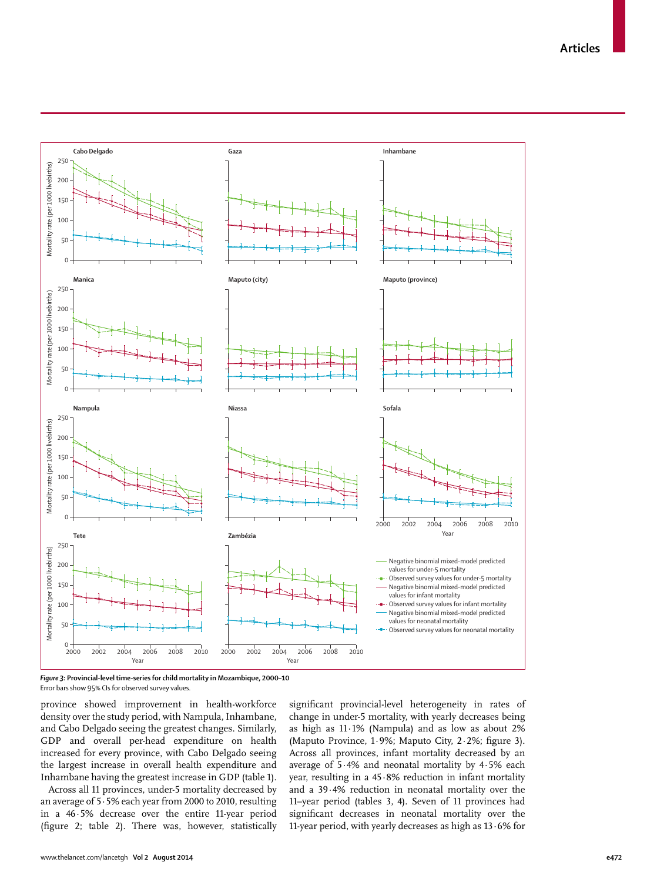

*Figure 3:* **Provincial-level time-series for child mortality in Mozambique, 2000–10** Error bars show 95% CIs for observed survey values.

province showed improvement in health-workforce density over the study period, with Nampula, Inhambane, and Cabo Delgado seeing the greatest changes. Similarly, GDP and overall per-head expenditure on health increased for every province, with Cabo Delgado seeing the largest increase in overall health expenditure and Inhambane having the greatest increase in GDP (table 1).

Across all 11 provinces, under-5 mortality decreased by an average of 5∙5% each year from 2000 to 2010, resulting in a 46∙5% decrease over the entire 11-year period (figure 2; table 2). There was, however, statistically significant provincial-level heterogeneity in rates of change in under-5 mortality, with yearly decreases being as high as 11·1% (Nampula) and as low as about 2% (Maputo Province, 1∙9%; Maputo City, 2∙2%; figure 3). Across all provinces, infant mortality decreased by an average of 5·4% and neonatal mortality by 4·5% each year, resulting in a 45·8% reduction in infant mortality and a 39·4% reduction in neonatal mortality over the 11–year period (tables 3, 4). Seven of 11 provinces had significant decreases in neonatal mortality over the 11-year period, with yearly decreases as high as 13·6% for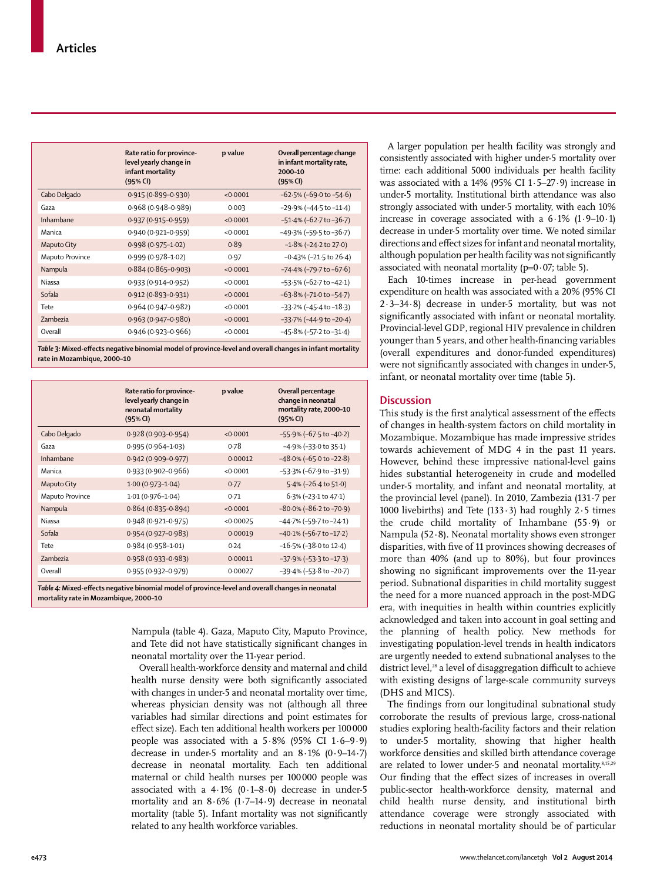|                 | Rate ratio for province-<br>level yearly change in<br>infant mortality<br>(95% CI) | p value  | Overall percentage change<br>in infant mortality rate,<br>2000-10<br>(95% CI) |
|-----------------|------------------------------------------------------------------------------------|----------|-------------------------------------------------------------------------------|
| Cabo Delgado    | $0.915(0.899 - 0.930)$                                                             | < 0.0001 | $-62.5\%$ (-69.0 to -54.6)                                                    |
| Gaza            | $0.968(0.948 - 0.989)$                                                             | 0.003    | $-29.9\%$ (-44.5 to $-11.4$ )                                                 |
| Inhambane       | $0.937(0.915 - 0.959)$                                                             | < 0.0001 | $-51.4\%$ (-62.7 to $-36.7$ )                                                 |
| Manica          | $0.940(0.921 - 0.959)$                                                             | < 0.0001 | $-49.3\%$ (-59.5 to -36.7)                                                    |
| Maputo City     | $0.998(0.975 - 1.02)$                                                              | 0.89     | $-1.8\%$ ( $-24.2$ to 27.0)                                                   |
| Maputo Province | 0.999 (0.978-1.02)                                                                 | 0.97     | $-0.43\%$ (-21.5 to 26.4)                                                     |
| Nampula         | $0.884(0.865 - 0.903)$                                                             | < 0.0001 | $-74.4\%$ (-79.7 to -67.6)                                                    |
| Niassa          | 0.933 (0.914-0.952)                                                                | < 0.0001 | $-53.5\%$ (-62.7 to -42.1)                                                    |
| Sofala          | $0.912(0.893 - 0.931)$                                                             | < 0.0001 | $-63.8\%$ (-71.0 to -54.7)                                                    |
| Tete            | 0.964 (0.947-0.982)                                                                | <0.0001  | $-33.2\%$ ( $-45.4$ to $-18.3$ )                                              |
| Zambezia        | 0.963 (0.947-0.980)                                                                | <0.0001  | $-33.7\%$ ( $-44.9$ to $-20.4$ )                                              |
| Overall         | 0.946 (0.923-0.966)                                                                | < 0.0001 | $-45.8\%$ (-57.2 to -31.4)                                                    |

Table 3: Mixed-effects negative binomial model of province-level and overall changes in infant mortality **rate in Mozambique, 2000–10**

|                                                                                                                                           | Rate ratio for province-<br>level yearly change in<br>neonatal mortality<br>(95% CI) | p value   | Overall percentage<br>change in neonatal<br>mortality rate, 2000-10<br>(95% CI) |  |  |  |  |
|-------------------------------------------------------------------------------------------------------------------------------------------|--------------------------------------------------------------------------------------|-----------|---------------------------------------------------------------------------------|--|--|--|--|
| Cabo Delgado                                                                                                                              | $0.928(0.903 - 0.954)$                                                               | < 0.0001  | $-55.9\%$ (-67.5 to -40.2)                                                      |  |  |  |  |
| Gaza                                                                                                                                      | $0.995(0.964 - 1.03)$                                                                | 0.78      | $-4.9\%$ (-33.0 to 35.1)                                                        |  |  |  |  |
| Inhambane                                                                                                                                 | 0.942 (0.909-0.977)                                                                  | 0.00012   | $-48.0\%$ (-65.0 to -22.8)                                                      |  |  |  |  |
| Manica                                                                                                                                    | 0.933 (0.902-0.966)                                                                  | < 0.0001  | $-53.3\%$ (-67.9 to $-31.9$ )                                                   |  |  |  |  |
| Maputo City                                                                                                                               | $1.00(0.973 - 1.04)$                                                                 | 0.77      | 5.4% (-26.4 to 51.0)                                                            |  |  |  |  |
| Maputo Province                                                                                                                           | $1.01(0.976 - 1.04)$                                                                 | 0.71      | 6.3% (-23.1 to 47.1)                                                            |  |  |  |  |
| Nampula                                                                                                                                   | $0.864(0.835 - 0.894)$                                                               | < 0.0001  | $-80.0\%$ ( $-86.2$ to $-70.9$ )                                                |  |  |  |  |
| Niassa                                                                                                                                    | 0.948 (0.921-0.975)                                                                  | < 0.00025 | -44.7% (-59.7 to -24.1)                                                         |  |  |  |  |
| Sofala                                                                                                                                    | 0.954 (0.927-0.983)                                                                  | 0.00019   | $-40.1\%$ (-56.7 to -17.2)                                                      |  |  |  |  |
| Tete                                                                                                                                      | 0.984 (0.958-1.01)                                                                   | 0.24      | $-16.5\%$ ( $-38.0$ to 12.4)                                                    |  |  |  |  |
| Zambezia                                                                                                                                  | 0.958 (0.933-0.983)                                                                  | 0.00011   | $-37.9\%$ ( $-53.3$ to $-17.3$ )                                                |  |  |  |  |
| Overall                                                                                                                                   | 0.955 (0.932-0.979)                                                                  | 0.00027   | -39.4% (-53.8 to -20.7)                                                         |  |  |  |  |
| Table 4: Mixed-effects negative binomial model of province-level and overall changes in neonatal<br>mortality rate in Mozambique, 2000-10 |                                                                                      |           |                                                                                 |  |  |  |  |

Nampula (table 4). Gaza, Maputo City, Maputo Province, and Tete did not have statistically significant changes in neonatal mortality over the 11-year period.

Overall health-workforce density and maternal and child health nurse density were both significantly associated with changes in under-5 and neonatal mortality over time, whereas physician density was not (although all three variables had similar directions and point estimates for effect size). Each ten additional health workers per 100 000 people was associated with a 5∙8% (95% CI 1∙6–9∙9) decrease in under-5 mortality and an  $8.1\%$  (0.9–14.7) decrease in neonatal mortality. Each ten additional maternal or child health nurses per 100 000 people was associated with a 4∙1% (0∙1–8∙0) decrease in under-5 mortality and an 8·6% (1·7–14·9) decrease in neonatal mortality (table 5). Infant mortality was not significantly related to any health workforce variables.

A larger population per health facility was strongly and consistently associated with higher under-5 mortality over time: each additional 5000 individuals per health facility was associated with a 14% (95% CI 1∙5–27∙9) increase in under-5 mortality. Institutional birth attendance was also strongly associated with under-5 mortality, with each 10% increase in coverage associated with a 6∙1% (1∙9–10∙1) decrease in under-5 mortality over time. We noted similar directions and effect sizes for infant and neonatal mortality, although population per health facility was not significantly associated with neonatal mortality ( $p=0.07$ ; table 5).

Each 10-times increase in per-head government expenditure on health was associated with a 20% (95% CI 2∙3–34∙8) decrease in under-5 mortality, but was not significantly associated with infant or neonatal mortality. Provincial-level GDP, regional HIV prevalence in children younger than 5 years, and other health-financing variables (overall expenditures and donor-funded expenditures) were not significantly associated with changes in under-5, infant, or neonatal mortality over time (table 5).

## **Discussion**

This study is the first analytical assessment of the effects of changes in health-system factors on child mortality in Mozambique. Mozambique has made impressive strides towards achievement of MDG 4 in the past 11 years. However, behind these impressive national-level gains hides substantial heterogeneity in crude and modelled under-5 mortality, and infant and neonatal mortality, at the provincial level (panel). In 2010, Zambezia (131∙7 per 1000 livebirths) and Tete (133∙3) had roughly 2∙5 times the crude child mortality of Inhambane (55·9) or Nampula (52·8). Neonatal mortality shows even stronger disparities, with five of 11 provinces showing decreases of more than 40% (and up to 80%), but four provinces showing no significant improvements over the 11-year period. Subnational disparities in child mortality suggest the need for a more nuanced approach in the post-MDG era, with inequities in health within countries explicitly acknowledged and taken into account in goal setting and the planning of health policy. New methods for investigating population-level trends in health indicators are urgently needed to extend subnational analyses to the district level,<sup>28</sup> a level of disaggregation difficult to achieve with existing designs of large-scale community surveys (DHS and MICS).

The findings from our longitudinal subnational study corroborate the results of previous large, cross-national studies exploring health-facility factors and their relation to under-5 mortality, showing that higher health workforce densities and skilled birth attendance coverage are related to lower under-5 and neonatal mortality.8,15,29 Our finding that the effect sizes of increases in overall public-sector health-workforce density, maternal and child health nurse density, and institutional birth attendance coverage were strongly associated with reductions in neonatal mortality should be of particular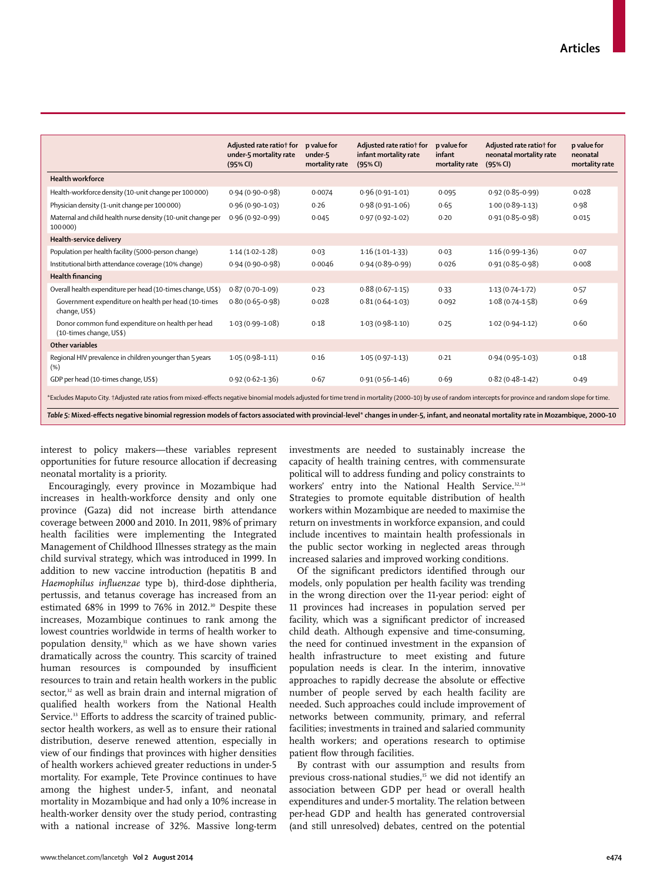|                                                                                                                                                                                                             | Adjusted rate ratio† for<br>under-5 mortality rate<br>(95% CI)                                                                                                                         | p value for<br>under-5<br>mortality rate | Adjusted rate ratio† for<br>infant mortality rate<br>(95% CI) | p value for<br>infant<br>mortality rate | Adjusted rate ratio† for<br>neonatal mortality rate<br>(95% CI) | p value for<br>neonatal<br>mortality rate |  |  |  |
|-------------------------------------------------------------------------------------------------------------------------------------------------------------------------------------------------------------|----------------------------------------------------------------------------------------------------------------------------------------------------------------------------------------|------------------------------------------|---------------------------------------------------------------|-----------------------------------------|-----------------------------------------------------------------|-------------------------------------------|--|--|--|
| <b>Health workforce</b>                                                                                                                                                                                     |                                                                                                                                                                                        |                                          |                                                               |                                         |                                                                 |                                           |  |  |  |
| Health-workforce density (10-unit change per 100 000)                                                                                                                                                       | $0.94(0.90 - 0.98)$                                                                                                                                                                    | 0.0074                                   | $0.96(0.91 - 1.01)$                                           | 0.095                                   | $0.92(0.85 - 0.99)$                                             | 0.028                                     |  |  |  |
| Physician density (1-unit change per 100 000)                                                                                                                                                               | $0.96(0.90 - 1.03)$                                                                                                                                                                    | 0.26                                     | $0.98(0.91 - 1.06)$                                           | 0.65                                    | $1.00(0.89 - 1.13)$                                             | 0.98                                      |  |  |  |
| Maternal and child health nurse density (10-unit change per<br>100000)                                                                                                                                      | $0.96(0.92 - 0.99)$                                                                                                                                                                    | 0.045                                    | $0.97(0.92 - 1.02)$                                           | 0.20                                    | $0.91(0.85 - 0.98)$                                             | 0.015                                     |  |  |  |
| Health-service delivery                                                                                                                                                                                     |                                                                                                                                                                                        |                                          |                                                               |                                         |                                                                 |                                           |  |  |  |
| Population per health facility (5000-person change)                                                                                                                                                         | $1.14(1.02 - 1.28)$                                                                                                                                                                    | 0.03                                     | $1.16(1.01-1.33)$                                             | 0.03                                    | $1.16(0.99 - 1.36)$                                             | 0.07                                      |  |  |  |
| Institutional birth attendance coverage (10% change)                                                                                                                                                        | $0.94(0.90 - 0.98)$                                                                                                                                                                    | 0.0046                                   | $0.94(0.89 - 0.99)$                                           | 0.026                                   | $0.91(0.85 - 0.98)$                                             | 0.008                                     |  |  |  |
| <b>Health financing</b>                                                                                                                                                                                     |                                                                                                                                                                                        |                                          |                                                               |                                         |                                                                 |                                           |  |  |  |
| Overall health expenditure per head (10-times change, US\$)                                                                                                                                                 | $0.87(0.70 - 1.09)$                                                                                                                                                                    | 0.23                                     | $0.88(0.67 - 1.15)$                                           | 0.33                                    | $1.13(0.74 - 1.72)$                                             | 0.57                                      |  |  |  |
| Government expenditure on health per head (10-times<br>change, US\$)                                                                                                                                        | $0.80(0.65 - 0.98)$                                                                                                                                                                    | 0.028                                    | $0.81(0.64 - 1.03)$                                           | 0.092                                   | $1.08(0.74 - 1.58)$                                             | 0.69                                      |  |  |  |
| Donor common fund expenditure on health per head<br>(10-times change, US\$)                                                                                                                                 | $1.03(0.99 - 1.08)$                                                                                                                                                                    | 0.18                                     | $1.03(0.98 - 1.10)$                                           | 0.25                                    | $1.02(0.94 - 1.12)$                                             | 0.60                                      |  |  |  |
| Other variables                                                                                                                                                                                             |                                                                                                                                                                                        |                                          |                                                               |                                         |                                                                 |                                           |  |  |  |
| Regional HIV prevalence in children younger than 5 years<br>$(\%)$                                                                                                                                          | $1.05(0.98 - 1.11)$                                                                                                                                                                    | 0.16                                     | $1.05(0.97 - 1.13)$                                           | 0.21                                    | $0.94(0.95 - 1.03)$                                             | 0.18                                      |  |  |  |
| GDP per head (10-times change, US\$)                                                                                                                                                                        | $0.92(0.62 - 1.36)$                                                                                                                                                                    | 0.67                                     | $0.91(0.56 - 1.46)$                                           | 0.69                                    | $0.82(0.48-1.42)$                                               | 0.49                                      |  |  |  |
| *Excludes Maputo City. †Adjusted rate ratios from mixed-effects negative binomial models adjusted for time trend in mortality (2000-10) by use of random intercepts for province and random slope for time. |                                                                                                                                                                                        |                                          |                                                               |                                         |                                                                 |                                           |  |  |  |
|                                                                                                                                                                                                             | Table 5: Mixed-effects negative binomial regression models of factors associated with provincial-level* changes in under-5, infant, and neonatal mortality rate in Mozambique, 2000-10 |                                          |                                                               |                                         |                                                                 |                                           |  |  |  |

interest to policy makers—these variables represent opportunities for future resource allocation if decreasing neonatal mortality is a priority.

Encouragingly, every province in Mozambique had increases in health-workforce density and only one province (Gaza) did not increase birth attendance coverage between 2000 and 2010. In 2011, 98% of primary health facilities were implementing the Integrated Management of Childhood Illnesses strategy as the main child survival strategy, which was introduced in 1999. In addition to new vaccine introduction (hepatitis B and *Haemophilus infl uenzae* type b), third-dose diphtheria, pertussis, and tetanus coverage has increased from an estimated 68% in 1999 to 76% in 2012.30 Despite these increases, Mozambique continues to rank among the lowest countries worldwide in terms of health worker to population density,<sup>31</sup> which as we have shown varies dramatically across the country. This scarcity of trained human resources is compounded by insufficient resources to train and retain health workers in the public sector,<sup>32</sup> as well as brain drain and internal migration of qualified health workers from the National Health Service.<sup>33</sup> Efforts to address the scarcity of trained publicsector health workers, as well as to ensure their rational distribution, deserve renewed attention, especially in view of our findings that provinces with higher densities of health workers achieved greater reductions in under-5 mortality. For example, Tete Province continues to have among the highest under-5, infant, and neonatal mortality in Mozambique and had only a 10% increase in health-worker density over the study period, contrasting with a national increase of 32%. Massive long-term investments are needed to sustainably increase the capacity of health training centres, with commensurate political will to address funding and policy constraints to workers' entry into the National Health Service.<sup>32,34</sup> Strategies to promote equitable distribution of health workers within Mozambique are needed to maximise the return on investments in workforce expansion, and could include incentives to maintain health professionals in the public sector working in neglected areas through increased salaries and improved working conditions.

Of the significant predictors identified through our models, only population per health facility was trending in the wrong direction over the 11-year period: eight of 11 provinces had increases in population served per facility, which was a significant predictor of increased child death. Although expensive and time-consuming, the need for continued investment in the expansion of health infrastructure to meet existing and future population needs is clear. In the interim, innovative approaches to rapidly decrease the absolute or effective number of people served by each health facility are needed. Such approaches could include improvement of networks between community, primary, and referral facilities; investments in trained and salaried community health workers; and operations research to optimise patient flow through facilities.

By contrast with our assumption and results from previous cross-national studies,<sup>15</sup> we did not identify an association between GDP per head or overall health expenditures and under-5 mortality. The relation between per-head GDP and health has generated controversial (and still unresolved) debates, centred on the potential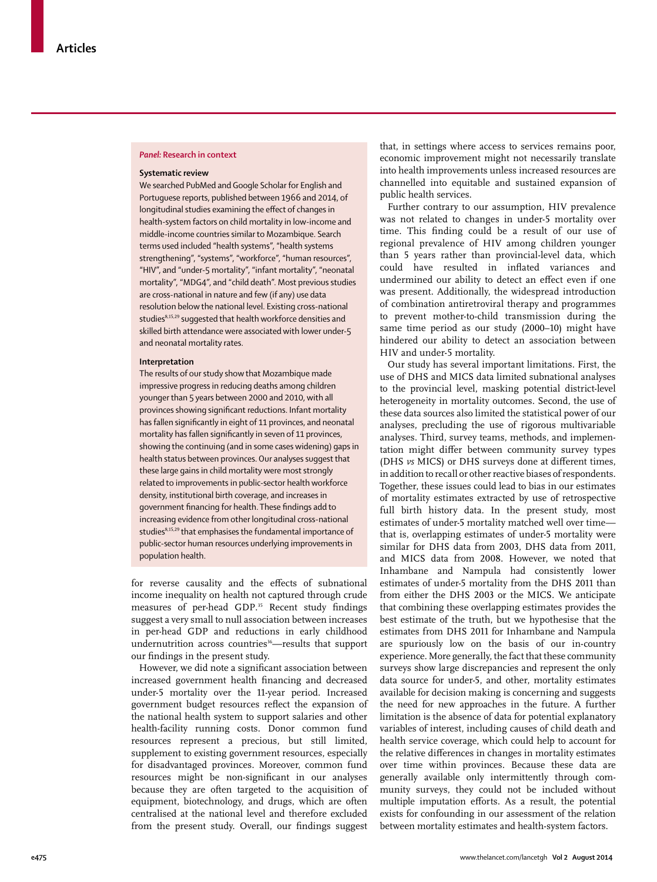#### *Panel:* **Research in context**

## **Systematic review**

We searched PubMed and Google Scholar for English and Portuguese reports, published between 1966 and 2014, of longitudinal studies examining the effect of changes in health-system factors on child mortality in low-income and middle-income countries similar to Mozambique. Search terms used included "health systems", "health systems strengthening", "systems", "workforce", "human resources", "HIV", and "under-5 mortality", "infant mortality", "neonatal mortality", "MDG4", and "child death". Most previous studies are cross-national in nature and few (if any) use data resolution below the national level. Existing cross-national studies<sup>8,15,29</sup> suggested that health workforce densities and skilled birth attendance were associated with lower under-5 and neonatal mortality rates.

#### **Interpretation**

The results of our study show that Mozambique made impressive progress in reducing deaths among children younger than 5 years between 2000 and 2010, with all provinces showing significant reductions. Infant mortality has fallen significantly in eight of 11 provinces, and neonatal mortality has fallen significantly in seven of 11 provinces, showing the continuing (and in some cases widening) gaps in health status between provinces. Our analyses suggest that these large gains in child mortality were most strongly related to improvements in public-sector health workforce density, institutional birth coverage, and increases in government financing for health. These findings add to increasing evidence from other longitudinal cross-national studies<sup>8,15,29</sup> that emphasises the fundamental importance of public-sector human resources underlying improvements in population health.

for reverse causality and the effects of subnational income inequality on health not captured through crude measures of per-head GDP.<sup>35</sup> Recent study findings suggest a very small to null association between increases in per-head GDP and reductions in early childhood undernutrition across countries<sup>36</sup>—results that support our findings in the present study.

However, we did note a significant association between increased government health financing and decreased under-5 mortality over the 11-year period. Increased government budget resources reflect the expansion of the national health system to support salaries and other health-facility running costs. Donor common fund resources represent a precious, but still limited, supplement to existing government resources, especially for disadvantaged provinces. Moreover, common fund resources might be non-significant in our analyses because they are often targeted to the acquisition of equipment, biotechnology, and drugs, which are often centralised at the national level and therefore excluded from the present study. Overall, our findings suggest

that, in settings where access to services remains poor, economic improvement might not necessarily translate into health improvements unless increased resources are channelled into equitable and sustained expansion of public health services.

Further contrary to our assumption, HIV prevalence was not related to changes in under-5 mortality over time. This finding could be a result of our use of regional prevalence of HIV among children younger than 5 years rather than provincial-level data, which could have resulted in inflated variances and undermined our ability to detect an effect even if one was present. Additionally, the widespread introduction of combination antiretroviral therapy and programmes to prevent mother-to-child transmission during the same time period as our study (2000–10) might have hindered our ability to detect an association between HIV and under-5 mortality.

Our study has several important limitations. First, the use of DHS and MICS data limited subnational analyses to the provincial level, masking potential district-level heterogeneity in mortality outcomes. Second, the use of these data sources also limited the statistical power of our analyses, precluding the use of rigorous multivariable analyses. Third, survey teams, methods, and implementation might differ between community survey types (DHS vs MICS) or DHS surveys done at different times, in addition to recall or other reactive biases of respondents. Together, these issues could lead to bias in our estimates of mortality estimates extracted by use of retrospective full birth history data. In the present study, most estimates of under-5 mortality matched well over time that is, overlapping estimates of under-5 mortality were similar for DHS data from 2003, DHS data from 2011, and MICS data from 2008. However, we noted that Inhambane and Nampula had consistently lower estimates of under-5 mortality from the DHS 2011 than from either the DHS 2003 or the MICS. We anticipate that combining these overlapping estimates provides the best estimate of the truth, but we hypothesise that the estimates from DHS 2011 for Inhambane and Nampula are spuriously low on the basis of our in-country experience. More generally, the fact that these community surveys show large discrepancies and represent the only data source for under-5, and other, mortality estimates available for decision making is concerning and suggests the need for new approaches in the future. A further limitation is the absence of data for potential explanatory variables of interest, including causes of child death and health service coverage, which could help to account for the relative differences in changes in mortality estimates over time within provinces. Because these data are generally available only intermittently through community surveys, they could not be included without multiple imputation efforts. As a result, the potential exists for confounding in our assessment of the relation between mortality estimates and health-system factors.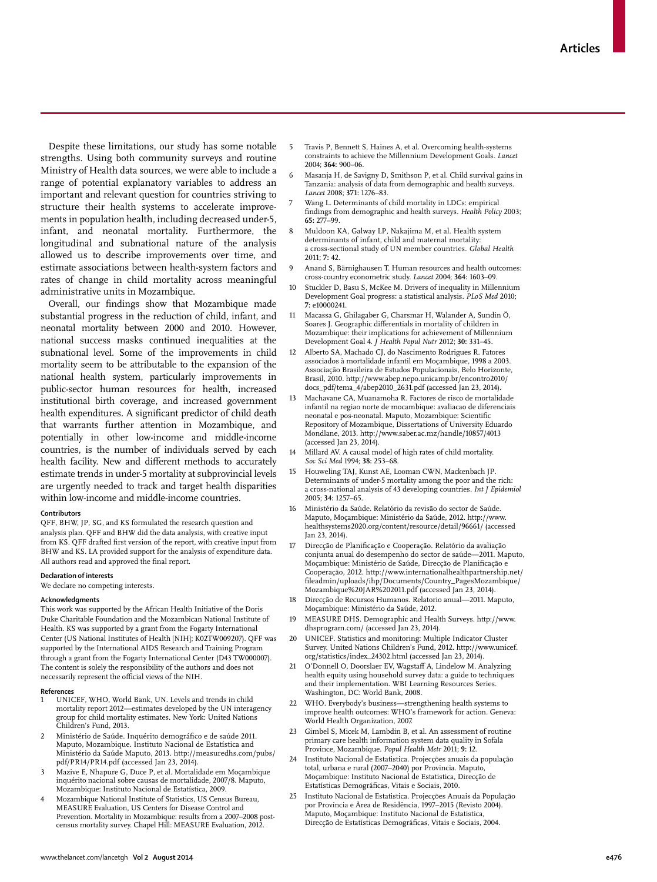Despite these limitations, our study has some notable strengths. Using both community surveys and routine Ministry of Health data sources, we were able to include a range of potential explanatory variables to address an important and relevant question for countries striving to structure their health systems to accelerate improvements in population health, including decreased under-5, infant, and neonatal mortality. Furthermore, the longitudinal and subnational nature of the analysis allowed us to describe improvements over time, and estimate associations between health-system factors and rates of change in child mortality across meaningful administrative units in Mozambique.

Overall, our findings show that Mozambique made substantial progress in the reduction of child, infant, and neonatal mortality between 2000 and 2010. However, national success masks continued inequalities at the subnational level. Some of the improvements in child mortality seem to be attributable to the expansion of the national health system, particularly improvements in public-sector human resources for health, increased institutional birth coverage, and increased government health expenditures. A significant predictor of child death that warrants further attention in Mozambique, and potentially in other low-income and middle-income countries, is the number of individuals served by each health facility. New and different methods to accurately estimate trends in under-5 mortality at subprovincial levels are urgently needed to track and target health disparities within low-income and middle-income countries.

#### **Contributors**

QFF, BHW, JP, SG, and KS formulated the research question and analysis plan. QFF and BHW did the data analysis, with creative input from KS. QFF drafted first version of the report, with creative input from BHW and KS. LA provided support for the analysis of expenditure data. All authors read and approved the final report.

#### **Declaration of interests**

We declare no competing interests.

#### **Acknowledgments**

This work was supported by the African Health Initiative of the Doris Duke Charitable Foundation and the Mozambican National Institute of Health. KS was supported by a grant from the Fogarty International Center (US National Institutes of Health [NIH]; K02TW009207). QFF was supported by the International AIDS Research and Training Program through a grant from the Fogarty International Center (D43 TW000007). The content is solely the responsibility of the authors and does not necessarily represent the official views of the NIH.

#### **References**

- UNICEF, WHO, World Bank, UN. Levels and trends in child mortality report 2012—estimates developed by the UN interagency group for child mortality estimates. New York: United Nations Children's Fund, 2013.
- Ministério de Saúde. Inquérito demográfico e de saúde 2011. Maputo, Mozambique. Instituto Nacional de Estatística and Ministério da Saúde Maputo, 2013. http://measuredhs.com/pubs/ pdf/PR14/PR14.pdf (accessed Jan 23, 2014).
- 3 Mazive E, Nhapure G, Duce P, et al. Mortalidade em Moçambique inquérito nacional sobre causas de mortalidade, 2007/8. Maputo, Mozambique: Instituto Nacional de Estatística, 2009.
- 4 Mozambique National Institute of Statistics, US Census Bureau, MEASURE Evaluation, US Centers for Disease Control and Prevention. Mortality in Mozambique: results from a 2007–2008 postcensus mortality survey. Chapel Hill: MEASURE Evaluation, 2012.
- 5 Travis P, Bennett S, Haines A, et al. Overcoming health-systems constraints to achieve the Millennium Development Goals. *Lancet* 2004; **364:** 900–06.
- 6 Masanja H, de Savigny D, Smithson P, et al. Child survival gains in Tanzania: analysis of data from demographic and health surveys. *Lancet* 2008; **371:** 1276–83.
- Wang L. Determinants of child mortality in LDCs: empirical fi ndings from demographic and health surveys. *Health Policy* 2003; **65:** 277–99.
- 8 Muldoon KA, Galway LP, Nakajima M, et al. Health system determinants of infant, child and maternal mortality: a cross-sectional study of UN member countries. *Global Health* 2011; **7:** 42.
- Anand S, Bärnighausen T. Human resources and health outcomes: cross-country econometric study. *Lancet* 2004; **364:** 1603–09.
- 10 Stuckler D, Basu S, McKee M. Drivers of inequality in Millennium Development Goal progress: a statistical analysis. *PLoS Med* 2010; **7:** e10000241.
- 11 Macassa G, Ghilagaber G, Charsmar H, Walander A, Sundin Ö, Soares J. Geographic differentials in mortality of children in Mozambique: their implications for achievement of Millennium Development Goal 4. *J Health Popul Nutr* 2012; **30:** 331–45.
- 12 Alberto SA, Machado CJ, do Nascimento Rodrigues R. Fatores associados à mortalidade infantil em Moçambique, 1998 a 2003. Associação Brasileira de Estudos Populacionais, Belo Horizonte, Brasil, 2010. http://www.abep.nepo.unicamp.br/encontro2010/ docs\_pdf/tema\_4/abep2010\_2631.pdf (accessed Jan 23, 2014).
- 13 Machavane CA, Muanamoha R. Factores de risco de mortalidade infantil na regiao norte de mocambique: avaliacao de diferenciais neonatal e pos-neonatal. Maputo, Mozambique: Scientific Repository of Mozambique, Dissertations of University Eduardo Mondlane, 2013. http://www.saber.ac.mz/handle/10857/4013 (accessed Jan 23, 2014).
- Millard AV. A causal model of high rates of child mortality. *Soc Sci Med* 1994; **38:** 253–68.
- 15 Houweling TAJ, Kunst AE, Looman CWN, Mackenbach JP. Determinants of under-5 mortality among the poor and the rich: a cross-national analysis of 43 developing countries. *Int J Epidemiol* 2005; **34:** 1257–65.
- 16 Ministério da Saúde. Relatório da revisão do sector de Saúde. Maputo, Moçambique: Ministério da Saúde, 2012. http://www. healthsystems2020.org/content/resource/detail/96661/ (accessed Jan 23, 2014).
- 17 Direcção de Planificação e Cooperação. Relatório da avaliação conjunta anual do desempenho do sector de saúde—2011. Maputo, Moçambique: Ministério de Saúde, Direcção de Planificação e Cooperação, 2012. http://www.internationalhealthpartnership.net/ fi leadmin/uploads/ihp/Documents/Country\_PagesMozambique/ Mozambique%20JAR%202011.pdf (accessed Jan 23, 2014).
- 18 Direcção de Recursos Humanos. Relatorio anual—2011. Maputo, Moçambique: Ministério da Saúde, 2012.
- 19 MEASURE DHS. Demographic and Health Surveys. http://www. dhsprogram.com/ (accessed Jan 23, 2014).
- 20 UNICEF. Statistics and monitoring: Multiple Indicator Cluster Survey. United Nations Children's Fund, 2012. http://www.unicef. org/statistics/index\_24302.html (accessed Jan 23, 2014).
- 21 O'Donnell O, Doorslaer EV, Wagstaff A, Lindelow M. Analyzing health equity using household survey data: a guide to techniques and their implementation. WBI Learning Resources Series. Washington, DC: World Bank, 2008.
- 22 WHO. Everybody's business—strengthening health systems to improve health outcomes: WHO's framework for action. Geneva: World Health Organization, 2007.
- 23 Gimbel S, Micek M, Lambdin B, et al. An assessment of routine primary care health information system data quality in Sofala Province, Mozambique. *Popul Health Metr* 2011; **9:** 12.
- 24 Instituto Nacional de Estatistica. Projecções anuais da população total, urbana e rural (2007–2040) por Provincia. Maputo, Moçambique: Instituto Nacional de Estatistica, Direcção de Estatísticas Demográficas, Vitais e Sociais, 2010.
- 25 Instituto Nacional de Estatistica. Projecções Anuais da População por Província e Área de Residência, 1997–2015 (Revisto 2004). Maputo, Moçambique: Instituto Nacional de Estatistica, Direcção de Estatísticas Demográficas, Vitais e Sociais, 2004.